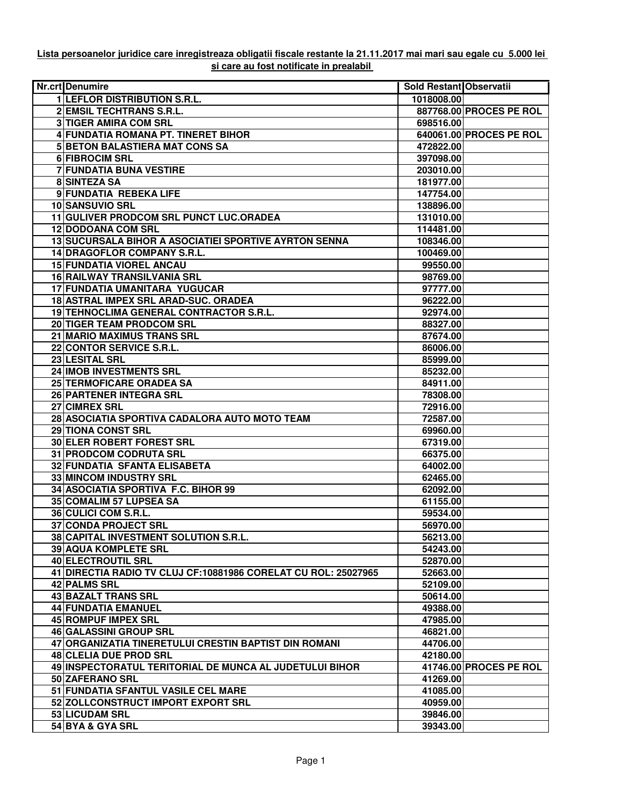## **Lista persoanelor juridice care inregistreaza obligatii fiscale restante la 21.11.2017 mai mari sau egale cu 5.000 lei si care au fost notificate in prealabil**

| <b>Nr.crtlDenumire</b>                                         | Sold Restant Observatii |                         |
|----------------------------------------------------------------|-------------------------|-------------------------|
| <b>1 LEFLOR DISTRIBUTION S.R.L.</b>                            | 1018008.00              |                         |
| 2 EMSIL TECHTRANS S.R.L.                                       |                         | 887768.00 PROCES PE ROL |
| <b>3 TIGER AMIRA COM SRL</b>                                   | 698516.00               |                         |
| 4 FUNDATIA ROMANA PT. TINERET BIHOR                            |                         | 640061.00 PROCES PE ROL |
| <b>5 BETON BALASTIERA MAT CONS SA</b>                          | 472822.00               |                         |
| 6 FIBROCIM SRL                                                 | 397098.00               |                         |
| 7 FUNDATIA BUNA VESTIRE                                        | 203010.00               |                         |
| 8 SINTEZA SA                                                   | 181977.00               |                         |
| 9 FUNDATIA REBEKA LIFE                                         | 147754.00               |                         |
| 10 SANSUVIO SRL                                                | 138896.00               |                         |
| 11 GULIVER PRODCOM SRL PUNCT LUC.ORADEA                        | 131010.00               |                         |
| 12 DODOANA COM SRL                                             | 114481.00               |                         |
| 13 SUCURSALA BIHOR A ASOCIATIEI SPORTIVE AYRTON SENNA          | 108346.00               |                         |
| 14 DRAGOFLOR COMPANY S.R.L.                                    | 100469.00               |                         |
| <b>15 FUNDATIA VIOREL ANCAU</b>                                | 99550.00                |                         |
| 16 RAILWAY TRANSILVANIA SRL                                    | 98769.00                |                         |
| 17 FUNDATIA UMANITARA YUGUCAR                                  | 97777.00                |                         |
| 18 ASTRAL IMPEX SRL ARAD-SUC. ORADEA                           | 96222.00                |                         |
| 19 TEHNOCLIMA GENERAL CONTRACTOR S.R.L.                        | 92974.00                |                         |
| 20 TIGER TEAM PRODCOM SRL                                      | 88327.00                |                         |
| 21 MARIO MAXIMUS TRANS SRL                                     | 87674.00                |                         |
| 22 CONTOR SERVICE S.R.L.                                       | 86006.00                |                         |
| 23 LESITAL SRL                                                 | 85999.00                |                         |
| 24 IMOB INVESTMENTS SRL                                        | 85232.00                |                         |
| 25 TERMOFICARE ORADEA SA                                       | 84911.00                |                         |
| 26 PARTENER INTEGRA SRL                                        | 78308.00                |                         |
| 27 CIMREX SRL                                                  | 72916.00                |                         |
| 28 ASOCIATIA SPORTIVA CADALORA AUTO MOTO TEAM                  | 72587.00                |                         |
| 29 TIONA CONST SRL                                             | 69960.00                |                         |
| 30 ELER ROBERT FOREST SRL                                      | 67319.00                |                         |
| 31 PRODCOM CODRUTA SRL                                         | 66375.00                |                         |
| 32 FUNDATIA SFANTA ELISABETA                                   | 64002.00                |                         |
| 33 MINCOM INDUSTRY SRL                                         | 62465.00                |                         |
| 34 ASOCIATIA SPORTIVA F.C. BIHOR 99                            | 62092.00                |                         |
| 35 COMALIM 57 LUPSEA SA                                        | 61155.00                |                         |
| 36 CULICI COM S.R.L.                                           | 59534.00                |                         |
| 37 CONDA PROJECT SRL                                           | 56970.00                |                         |
| 38 CAPITAL INVESTMENT SOLUTION S.R.L.                          | 56213.00                |                         |
| 39 AQUA KOMPLETE SRL                                           | 54243.00                |                         |
| 40 ELECTROUTIL SRL                                             | 52870.00                |                         |
| 41 DIRECTIA RADIO TV CLUJ CF:10881986 CORELAT CU ROL: 25027965 | 52663.00                |                         |
| 42 PALMS SRL                                                   | 52109.00                |                         |
| 43 BAZALT TRANS SRL                                            | 50614.00                |                         |
| 44 FUNDATIA EMANUEL                                            | 49388.00                |                         |
| 45 ROMPUF IMPEX SRL                                            | 47985.00                |                         |
| <b>46 GALASSINI GROUP SRL</b>                                  | 46821.00                |                         |
| 47 ORGANIZATIA TINERETULUI CRESTIN BAPTIST DIN ROMANI          | 44706.00                |                         |
| 48 CLELIA DUE PROD SRL                                         | 42180.00                |                         |
| 49 INSPECTORATUL TERITORIAL DE MUNCA AL JUDETULUI BIHOR        |                         | 41746.00 PROCES PE ROL  |
| 50 ZAFERANO SRL                                                | 41269.00                |                         |
| 51 FUNDATIA SFANTUL VASILE CEL MARE                            | 41085.00                |                         |
| 52 ZOLLCONSTRUCT IMPORT EXPORT SRL                             | 40959.00                |                         |
| 53 LICUDAM SRL                                                 | 39846.00                |                         |
| 54 BYA & GYA SRL                                               | 39343.00                |                         |
|                                                                |                         |                         |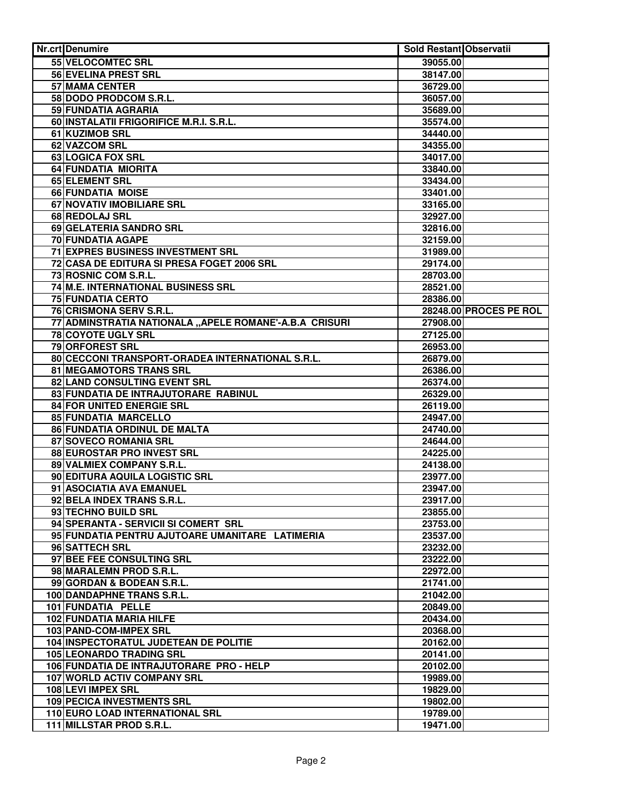| <b>Nr.crt</b> Denumire                                 | Sold Restant Observatii |                        |
|--------------------------------------------------------|-------------------------|------------------------|
| 55 VELOCOMTEC SRL                                      | 39055.00                |                        |
| <b>56 EVELINA PREST SRL</b>                            | 38147.00                |                        |
| 57 MAMA CENTER                                         | 36729.00                |                        |
| 58 DODO PRODCOM S.R.L.                                 | 36057.00                |                        |
| 59 FUNDATIA AGRARIA                                    | 35689.00                |                        |
| 60 INSTALATII FRIGORIFICE M.R.I. S.R.L.                | 35574.00                |                        |
| 61 KUZIMOB SRL                                         | 34440.00                |                        |
| 62 VAZCOM SRL                                          | 34355.00                |                        |
| 63 LOGICA FOX SRL                                      | 34017.00                |                        |
| 64 FUNDATIA MIORITA                                    | 33840.00                |                        |
| 65 ELEMENT SRL                                         | 33434.00                |                        |
| 66 FUNDATIA MOISE                                      | 33401.00                |                        |
| 67 NOVATIV IMOBILIARE SRL                              | 33165.00                |                        |
| 68 REDOLAJ SRL                                         | 32927.00                |                        |
| 69 GELATERIA SANDRO SRL                                | 32816.00                |                        |
| 70 FUNDATIA AGAPE                                      | 32159.00                |                        |
| 71 EXPRES BUSINESS INVESTMENT SRL                      | 31989.00                |                        |
| 72 CASA DE EDITURA SI PRESA FOGET 2006 SRL             | 29174.00                |                        |
| 73 ROSNIC COM S.R.L.                                   | 28703.00                |                        |
| 74 M.E. INTERNATIONAL BUSINESS SRL                     | 28521.00                |                        |
| 75 FUNDATIA CERTO                                      | 28386.00                |                        |
| 76 CRISMONA SERV S.R.L.                                |                         | 28248.00 PROCES PE ROL |
| 77 ADMINSTRATIA NATIONALA "APELE ROMANE'-A.B.A CRISURI | 27908.00                |                        |
| 78 COYOTE UGLY SRL                                     | 27125.00                |                        |
| 79 ORFOREST SRL                                        | 26953.00                |                        |
| 80 CECCONI TRANSPORT-ORADEA INTERNATIONAL S.R.L.       | 26879.00                |                        |
| 81 MEGAMOTORS TRANS SRL                                | 26386.00                |                        |
| 82 LAND CONSULTING EVENT SRL                           | 26374.00                |                        |
| 83 FUNDATIA DE INTRAJUTORARE RABINUL                   | 26329.00                |                        |
| 84 FOR UNITED ENERGIE SRL                              | 26119.00                |                        |
| 85 FUNDATIA MARCELLO                                   | 24947.00                |                        |
| 86 FUNDATIA ORDINUL DE MALTA                           | 24740.00                |                        |
| 87 SOVECO ROMANIA SRL                                  | 24644.00                |                        |
| 88 EUROSTAR PRO INVEST SRL                             | 24225.00                |                        |
| 89 VALMIEX COMPANY S.R.L.                              | 24138.00                |                        |
| 90 EDITURA AQUILA LOGISTIC SRL                         | 23977.00                |                        |
| 91 ASOCIATIA AVA EMANUEL                               | 23947.00                |                        |
| 92 BELA INDEX TRANS S.R.L.                             | 23917.00                |                        |
| 93 TECHNO BUILD SRL                                    | 23855.00                |                        |
| 94 SPERANTA - SERVICII SI COMERT SRL                   | 23753.00                |                        |
| 95 FUNDATIA PENTRU AJUTOARE UMANITARE LATIMERIA        | 23537.00                |                        |
| 96 SATTECH SRL                                         | 23232.00                |                        |
| 97 BEE FEE CONSULTING SRL                              | 23222.00                |                        |
| 98 MARALEMN PROD S.R.L.                                | 22972.00                |                        |
| 99 GORDAN & BODEAN S.R.L.                              | 21741.00                |                        |
| 100 DANDAPHNE TRANS S.R.L.                             | 21042.00                |                        |
| 101 FUNDATIA PELLE                                     | 20849.00                |                        |
| 102 FUNDATIA MARIA HILFE                               | 20434.00                |                        |
| 103 PAND-COM-IMPEX SRL                                 | 20368.00                |                        |
| 104 INSPECTORATUL JUDETEAN DE POLITIE                  | 20162.00                |                        |
| <b>105 LEONARDO TRADING SRL</b>                        | 20141.00                |                        |
| 106 FUNDATIA DE INTRAJUTORARE PRO - HELP               | 20102.00                |                        |
| 107 WORLD ACTIV COMPANY SRL                            | 19989.00                |                        |
| 108 LEVI IMPEX SRL                                     | 19829.00                |                        |
| <b>109 PECICA INVESTMENTS SRL</b>                      | 19802.00                |                        |
| 110 EURO LOAD INTERNATIONAL SRL                        | 19789.00                |                        |
| 111 MILLSTAR PROD S.R.L.                               | 19471.00                |                        |
|                                                        |                         |                        |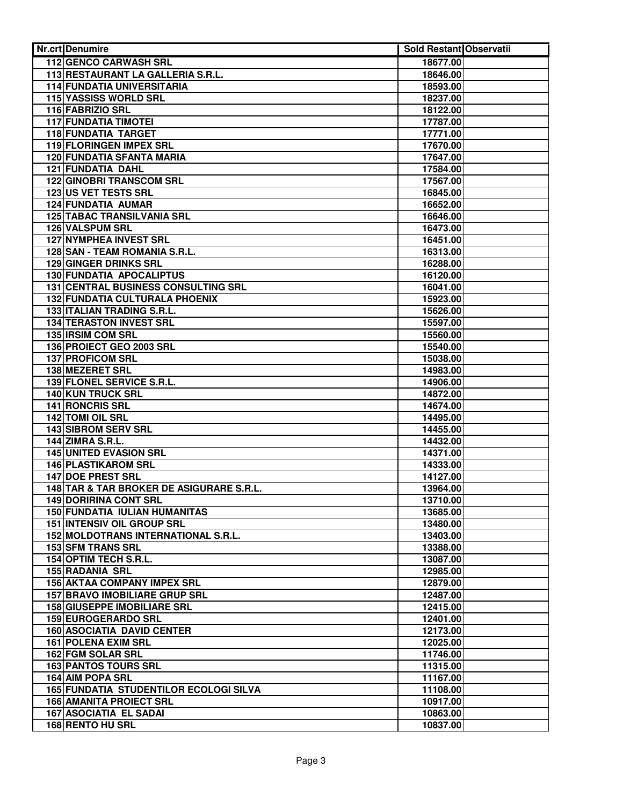| <b>Nr.crt</b> Denumire                                          | Sold Restant Observatii |  |
|-----------------------------------------------------------------|-------------------------|--|
| 112 GENCO CARWASH SRL                                           | 18677.00                |  |
| 113 RESTAURANT LA GALLERIA S.R.L.                               | 18646.00                |  |
| <b>114 FUNDATIA UNIVERSITARIA</b>                               | 18593.00                |  |
| 115 YASSISS WORLD SRL                                           | 18237.00                |  |
| 116 FABRIZIO SRL                                                | 18122.00                |  |
| <b>117 FUNDATIA TIMOTEI</b>                                     | 17787.00                |  |
| <b>118 FUNDATIA TARGET</b>                                      | 17771.00                |  |
| 119 FLORINGEN IMPEX SRL                                         | 17670.00                |  |
| <b>120 FUNDATIA SFANTA MARIA</b>                                | 17647.00                |  |
| <b>121 FUNDATIA DAHL</b>                                        | 17584.00                |  |
| <b>122 GINOBRI TRANSCOM SRL</b>                                 | 17567.00                |  |
| 123 US VET TESTS SRL                                            | 16845.00                |  |
| 124 FUNDATIA AUMAR                                              | 16652.00                |  |
| <b>125 TABAC TRANSILVANIA SRL</b>                               | 16646.00                |  |
| 126 VALSPUM SRL                                                 | 16473.00                |  |
| 127 NYMPHEA INVEST SRL                                          | 16451.00                |  |
| 128 SAN - TEAM ROMANIA S.R.L.                                   | 16313.00                |  |
| 129 GINGER DRINKS SRL                                           | 16288.00                |  |
| 130 FUNDATIA APOCALIPTUS                                        | 16120.00                |  |
| 131 CENTRAL BUSINESS CONSULTING SRL                             | 16041.00                |  |
| 132 FUNDATIA CULTURALA PHOENIX                                  | 15923.00                |  |
| 133 ITALIAN TRADING S.R.L.                                      | 15626.00                |  |
| <b>134 TERASTON INVEST SRL</b>                                  | 15597.00                |  |
| 135 IRSIM COM SRL                                               | 15560.00                |  |
| 136 PROIECT GEO 2003 SRL                                        | 15540.00                |  |
| 137 PROFICOM SRL                                                | 15038.00                |  |
| <b>138 MEZERET SRL</b>                                          | 14983.00                |  |
| 139 FLONEL SERVICE S.R.L.                                       | 14906.00                |  |
| <b>140 KUN TRUCK SRL</b>                                        | 14872.00                |  |
| <b>141 RONCRIS SRL</b>                                          | 14674.00                |  |
| 142 TOMI OIL SRL                                                | 14495.00                |  |
| <b>143 SIBROM SERV SRL</b>                                      | 14455.00                |  |
| <b>144 ZIMRA S.R.L.</b>                                         | 14432.00                |  |
| <b>145 UNITED EVASION SRL</b>                                   | 14371.00                |  |
| <b>146 PLASTIKAROM SRL</b>                                      | 14333.00                |  |
| 147 DOE PREST SRL                                               | 14127.00                |  |
| 148 TAR & TAR BROKER DE ASIGURARE S.R.L.                        | 13964.00                |  |
| 149 DORIRINA CONT SRL                                           | 13710.00                |  |
| <b>150 FUNDATIA IULIAN HUMANITAS</b>                            | 13685.00                |  |
| 151 INTENSIV OIL GROUP SRL                                      | 13480.00                |  |
| 152 MOLDOTRANS INTERNATIONAL S.R.L.<br><b>153 SFM TRANS SRL</b> | 13403.00                |  |
|                                                                 | 13388.00                |  |
| 154 OPTIM TECH S.R.L.                                           | 13087.00                |  |
| <b>155 RADANIA SRL</b><br><b>156 AKTAA COMPANY IMPEX SRL</b>    | 12985.00                |  |
|                                                                 | 12879.00                |  |
| <b>157 BRAVO IMOBILIARE GRUP SRL</b>                            | 12487.00                |  |
| <b>158 GIUSEPPE IMOBILIARE SRL</b>                              | 12415.00                |  |
| 159 EUROGERARDO SRL                                             | 12401.00                |  |
| <b>160 ASOCIATIA DAVID CENTER</b><br>161 POLENA EXIM SRL        | 12173.00                |  |
| 162 FGM SOLAR SRL                                               | 12025.00                |  |
| <b>163 PANTOS TOURS SRL</b>                                     | 11746.00                |  |
| <b>164 AIM POPA SRL</b>                                         | 11315.00<br>11167.00    |  |
| <b>165 FUNDATIA STUDENTILOR ECOLOGI SILVA</b>                   |                         |  |
| <b>166 AMANITA PROIECT SRL</b>                                  | 11108.00<br>10917.00    |  |
| <b>167 ASOCIATIA EL SADAI</b>                                   |                         |  |
| <b>168 RENTO HU SRL</b>                                         | 10863.00                |  |
|                                                                 | 10837.00                |  |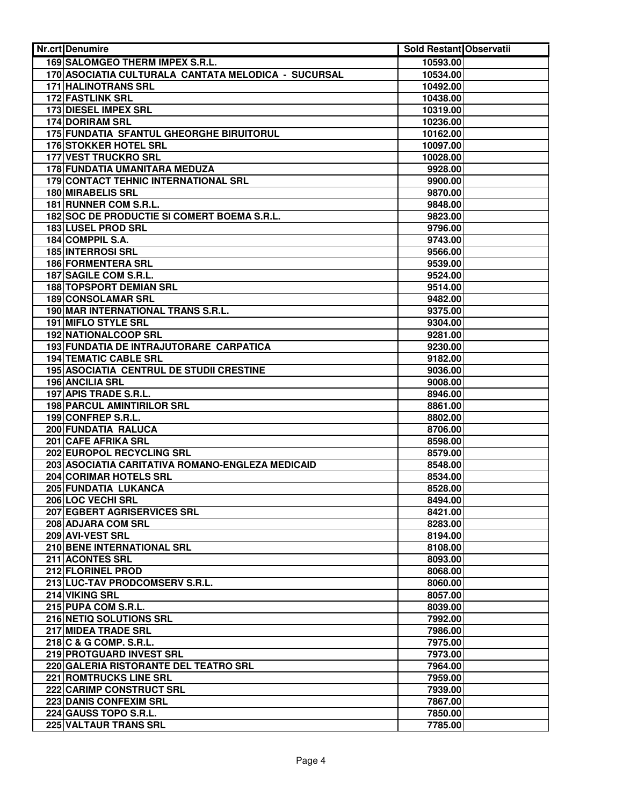| <b>Nr.crt</b> Denumire                                   | <b>Sold Restant Observatii</b> |  |
|----------------------------------------------------------|--------------------------------|--|
| 169 SALOMGEO THERM IMPEX S.R.L.                          | 10593.00                       |  |
| 170 ASOCIATIA CULTURALA CANTATA MELODICA - SUCURSAL      | 10534.00                       |  |
| <b>171 HALINOTRANS SRL</b>                               | 10492.00                       |  |
| <b>172 FASTLINK SRL</b>                                  | 10438.00                       |  |
| <b>173 DIESEL IMPEX SRL</b>                              | 10319.00                       |  |
| <b>174 DORIRAM SRL</b>                                   | 10236.00                       |  |
| 175 FUNDATIA SFANTUL GHEORGHE BIRUITORUL                 | 10162.00                       |  |
| <b>176 STOKKER HOTEL SRL</b>                             | 10097.00                       |  |
| <b>177 VEST TRUCKRO SRL</b>                              | 10028.00                       |  |
| 178 FUNDATIA UMANITARA MEDUZA                            | 9928.00                        |  |
| 179 CONTACT TEHNIC INTERNATIONAL SRL                     | 9900.00                        |  |
| <b>180 MIRABELIS SRL</b>                                 | 9870.00                        |  |
| 181 RUNNER COM S.R.L.                                    | 9848.00                        |  |
| 182 SOC DE PRODUCTIE SI COMERT BOEMA S.R.L.              | 9823.00                        |  |
| 183 LUSEL PROD SRL                                       | 9796.00                        |  |
| 184 COMPPIL S.A.                                         | 9743.00                        |  |
| 185 INTERROSI SRL                                        | 9566.00                        |  |
| <b>186 FORMENTERA SRL</b>                                | 9539.00                        |  |
| 187 SAGILE COM S.R.L.                                    | 9524.00                        |  |
| <b>188 TOPSPORT DEMIAN SRL</b>                           | 9514.00                        |  |
| 189 CONSOLAMAR SRL<br>190 MAR INTERNATIONAL TRANS S.R.L. | 9482.00                        |  |
| <b>191 MIFLO STYLE SRL</b>                               | 9375.00<br>9304.00             |  |
| 192 NATIONALCOOP SRL                                     | 9281.00                        |  |
| 193 FUNDATIA DE INTRAJUTORARE CARPATICA                  | 9230.00                        |  |
| <b>194 TEMATIC CABLE SRL</b>                             | 9182.00                        |  |
| <b>195 ASOCIATIA CENTRUL DE STUDII CRESTINE</b>          | 9036.00                        |  |
| <b>196 ANCILIA SRL</b>                                   | 9008.00                        |  |
| 197 APIS TRADE S.R.L.                                    | 8946.00                        |  |
| <b>198 PARCUL AMINTIRILOR SRL</b>                        | 8861.00                        |  |
| 199 CONFREP S.R.L.                                       | 8802.00                        |  |
| <b>200 FUNDATIA RALUCA</b>                               | 8706.00                        |  |
| 201 CAFE AFRIKA SRL                                      | 8598.00                        |  |
| 202 EUROPOL RECYCLING SRL                                | 8579.00                        |  |
| 203 ASOCIATIA CARITATIVA ROMANO-ENGLEZA MEDICAID         | 8548.00                        |  |
| 204 CORIMAR HOTELS SRL                                   | 8534.00                        |  |
| 205 FUNDATIA LUKANCA                                     | 8528.00                        |  |
| 206 LOC VECHI SRL                                        | 8494.00                        |  |
| 207 EGBERT AGRISERVICES SRL                              | 8421.00                        |  |
| 208 ADJARA COM SRL                                       | 8283.00                        |  |
| 209 AVI-VEST SRL                                         | 8194.00                        |  |
| 210 BENE INTERNATIONAL SRL                               | 8108.00                        |  |
| 211 ACONTES SRL                                          | 8093.00                        |  |
| 212 FLORINEL PROD                                        | 8068.00                        |  |
| 213 LUC-TAV PRODCOMSERV S.R.L.                           | 8060.00                        |  |
| 214 VIKING SRL                                           | 8057.00                        |  |
| 215 PUPA COM S.R.L.                                      | 8039.00                        |  |
| 216 NETIQ SOLUTIONS SRL                                  | 7992.00                        |  |
| 217 MIDEA TRADE SRL                                      | 7986.00                        |  |
| 218 C & G COMP. S.R.L.                                   | 7975.00                        |  |
| 219 PROTGUARD INVEST SRL                                 | 7973.00                        |  |
| 220 GALERIA RISTORANTE DEL TEATRO SRL                    | 7964.00                        |  |
| 221 ROMTRUCKS LINE SRL                                   | 7959.00                        |  |
| 222 CARIMP CONSTRUCT SRL                                 | 7939.00                        |  |
| 223 DANIS CONFEXIM SRL                                   | 7867.00                        |  |
| 224 GAUSS TOPO S.R.L.                                    | 7850.00                        |  |
| 225 VALTAUR TRANS SRL                                    | 7785.00                        |  |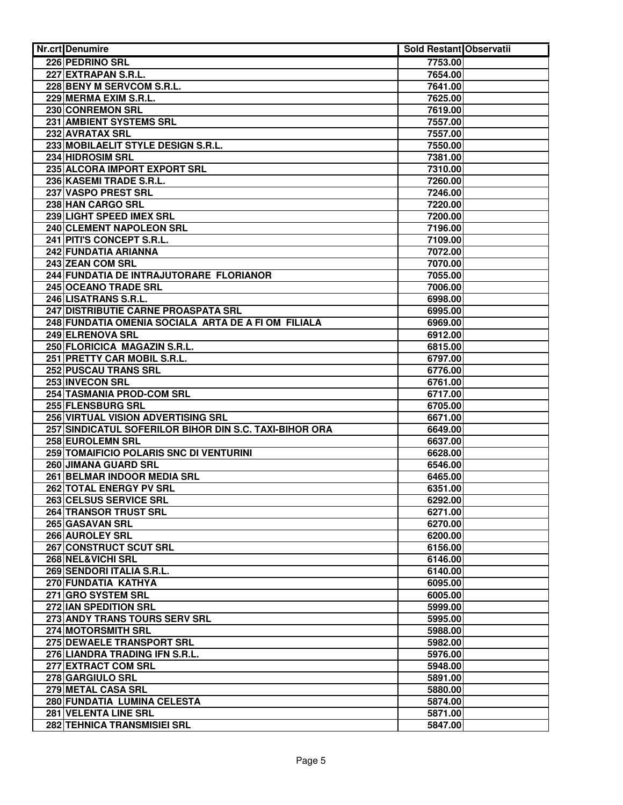| <b>Nr.crt</b> Denumire                                 | Sold Restant Observatii |  |
|--------------------------------------------------------|-------------------------|--|
| 226 PEDRINO SRL                                        | 7753.00                 |  |
| 227 EXTRAPAN S.R.L.                                    | 7654.00                 |  |
| 228 BENY M SERVCOM S.R.L.                              | 7641.00                 |  |
| 229 MERMA EXIM S.R.L.                                  | 7625.00                 |  |
| 230 CONREMON SRL                                       | 7619.00                 |  |
| 231 AMBIENT SYSTEMS SRL                                | 7557.00                 |  |
| 232 AVRATAX SRL                                        | 7557.00                 |  |
| 233 MOBILAELIT STYLE DESIGN S.R.L.                     | 7550.00                 |  |
| 234 HIDROSIM SRL                                       | 7381.00                 |  |
| 235 ALCORA IMPORT EXPORT SRL                           | 7310.00                 |  |
| 236 KASEMI TRADE S.R.L.                                | 7260.00                 |  |
| 237 VASPO PREST SRL                                    | 7246.00                 |  |
| 238 HAN CARGO SRL                                      | 7220.00                 |  |
| 239 LIGHT SPEED IMEX SRL                               | 7200.00                 |  |
| 240 CLEMENT NAPOLEON SRL                               | 7196.00                 |  |
| 241 PITI'S CONCEPT S.R.L.                              | 7109.00                 |  |
| 242 FUNDATIA ARIANNA                                   | 7072.00                 |  |
| 243 ZEAN COM SRL                                       | 7070.00                 |  |
| 244 FUNDATIA DE INTRAJUTORARE FLORIANOR                | 7055.00                 |  |
| 245 OCEANO TRADE SRL                                   | 7006.00                 |  |
| 246 LISATRANS S.R.L.                                   | 6998.00                 |  |
| 247 DISTRIBUTIE CARNE PROASPATA SRL                    | 6995.00                 |  |
| 248 FUNDATIA OMENIA SOCIALA ARTA DE A FI OM FILIALA    | 6969.00                 |  |
| 249 ELRENOVA SRL                                       | 6912.00                 |  |
| 250 FLORICICA MAGAZIN S.R.L.                           | 6815.00                 |  |
| 251 PRETTY CAR MOBIL S.R.L.                            | 6797.00                 |  |
| 252 PUSCAU TRANS SRL                                   | 6776.00                 |  |
| 253 INVECON SRL                                        | 6761.00                 |  |
| 254 TASMANIA PROD-COM SRL                              | 6717.00                 |  |
| 255 FLENSBURG SRL                                      | 6705.00                 |  |
| 256 VIRTUAL VISION ADVERTISING SRL                     | 6671.00                 |  |
| 257 SINDICATUL SOFERILOR BIHOR DIN S.C. TAXI-BIHOR ORA | 6649.00                 |  |
| <b>258 EUROLEMN SRL</b>                                | 6637.00                 |  |
| 259 TOMAIFICIO POLARIS SNC DI VENTURINI                | 6628.00                 |  |
| 260 JIMANA GUARD SRL                                   | 6546.00                 |  |
| 261 BELMAR INDOOR MEDIA SRL                            | 6465.00                 |  |
| 262 TOTAL ENERGY PV SRL                                | 6351.00                 |  |
| 263 CELSUS SERVICE SRL                                 | 6292.00                 |  |
| 264 TRANSOR TRUST SRL                                  | 6271.00                 |  |
| 265 GASAVAN SRL                                        | 6270.00                 |  |
| 266 AUROLEY SRL                                        | 6200.00                 |  |
| 267 CONSTRUCT SCUT SRL                                 | 6156.00                 |  |
| 268 NEL&VICHI SRL                                      | 6146.00                 |  |
| 269 SENDORI ITALIA S.R.L.                              | 6140.00                 |  |
| 270 FUNDATIA KATHYA                                    | 6095.00                 |  |
| 271 GRO SYSTEM SRL                                     | 6005.00                 |  |
| 272 IAN SPEDITION SRL                                  | 5999.00                 |  |
| 273 ANDY TRANS TOURS SERV SRL                          | 5995.00                 |  |
| 274 MOTORSMITH SRL                                     | 5988.00                 |  |
| 275 DEWAELE TRANSPORT SRL                              | 5982.00                 |  |
| 276 LIANDRA TRADING IFN S.R.L.                         | 5976.00                 |  |
| 277 EXTRACT COM SRL                                    | 5948.00                 |  |
| 278 GARGIULO SRL                                       | 5891.00                 |  |
| 279 METAL CASA SRL                                     | 5880.00                 |  |
| 280 FUNDATIA LUMINA CELESTA                            | 5874.00                 |  |
| 281 VELENTA LINE SRL                                   | 5871.00                 |  |
| 282 TEHNICA TRANSMISIEI SRL                            | 5847.00                 |  |